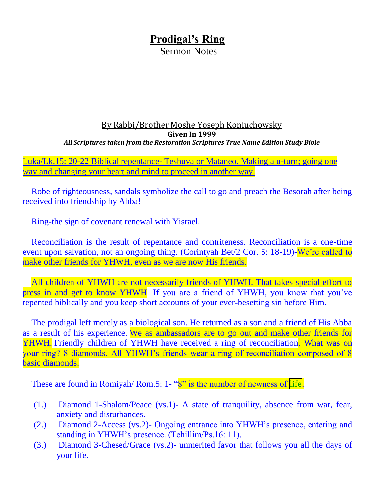## **Prodigal's Ring**

Sermon Notes

## By Rabbi/Brother Moshe Yoseph Koniuchowsky **Given In 1999** *All Scriptures taken from the Restoration Scriptures True Name Edition Study Bible*

Luka/Lk.15: 20-22 Biblical repentance- Teshuva or Mataneo. Making a u-turn; going one way and changing your heart and mind to proceed in another way.

Robe of righteousness, sandals symbolize the call to go and preach the Besorah after being received into friendship by Abba!

Ring-the sign of covenant renewal with Yisrael.

Reconciliation is the result of repentance and contriteness. Reconciliation is a one-time event upon salvation, not an ongoing thing. (Corintyah Bet/2 Cor. 5: 18-19)-We're called to make other friends for YHWH, even as we are now His friends.

All children of YHWH are not necessarily friends of YHWH. That takes special effort to press in and get to know YHWH. If you are a friend of YHWH, you know that you've repented biblically and you keep short accounts of your ever-besetting sin before Him.

The prodigal left merely as a biological son. He returned as a son and a friend of His Abba as a result of his experience. We as ambassadors are to go out and make other friends for YHWH. Friendly children of YHWH have received a ring of reconciliation. What was on your ring? 8 diamonds. All YHWH's friends wear a ring of reconciliation composed of 8 basic diamonds.

These are found in Romiyah/ Rom.5: 1- "8" is the number of newness of life.

- (1.) Diamond 1-Shalom/Peace (vs.1)- A state of tranquility, absence from war, fear, anxiety and disturbances.
- (2.) Diamond 2-Access (vs.2)- Ongoing entrance into YHWH's presence, entering and standing in YHWH's presence. (Tehillim/Ps.16: 11).
- (3.) Diamond 3-Chesed/Grace (vs.2)- unmerited favor that follows you all the days of your life.